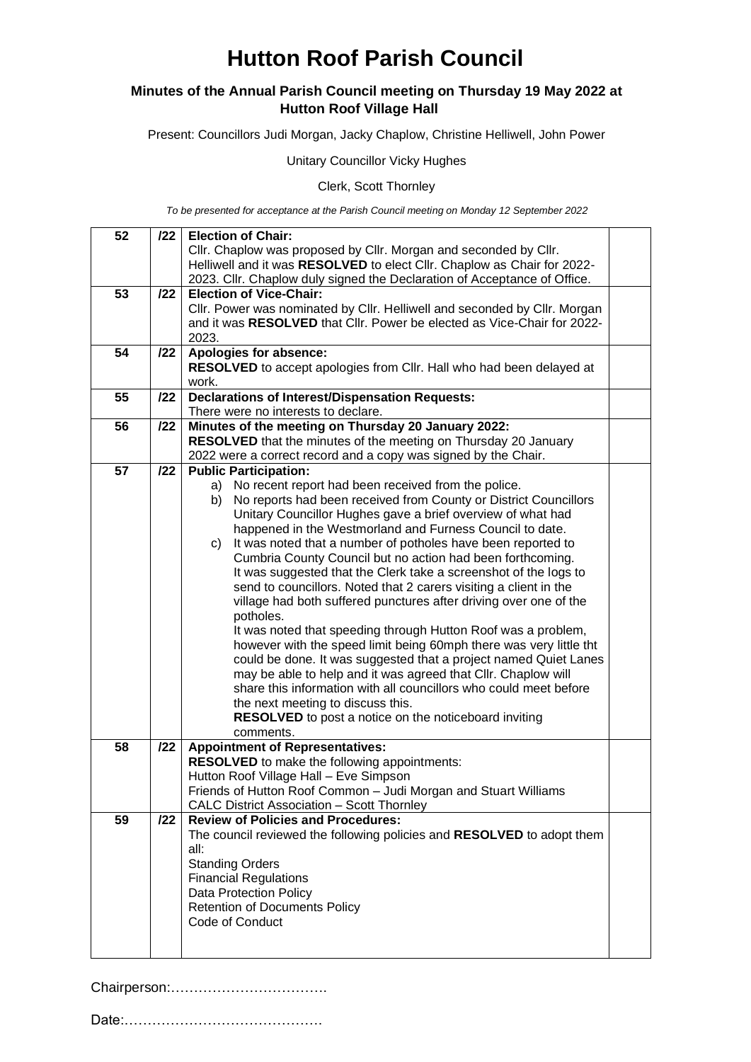## **Hutton Roof Parish Council**

### **Minutes of the Annual Parish Council meeting on Thursday 19 May 2022 at Hutton Roof Village Hall**

Present: Councillors Judi Morgan, Jacky Chaplow, Christine Helliwell, John Power

Unitary Councillor Vicky Hughes

Clerk, Scott Thornley

*To be presented for acceptance at the Parish Council meeting on Monday 12 September 2022*

| 52 | 122 | <b>Election of Chair:</b>                                                                                                                   |  |
|----|-----|---------------------------------------------------------------------------------------------------------------------------------------------|--|
|    |     | Cllr. Chaplow was proposed by Cllr. Morgan and seconded by Cllr.<br>Helliwell and it was RESOLVED to elect Cllr. Chaplow as Chair for 2022- |  |
|    |     | 2023. Cllr. Chaplow duly signed the Declaration of Acceptance of Office.                                                                    |  |
| 53 | 122 | <b>Election of Vice-Chair:</b>                                                                                                              |  |
|    |     | Cllr. Power was nominated by Cllr. Helliwell and seconded by Cllr. Morgan                                                                   |  |
|    |     | and it was RESOLVED that Cllr. Power be elected as Vice-Chair for 2022-                                                                     |  |
|    |     | 2023.                                                                                                                                       |  |
| 54 | 122 | Apologies for absence:                                                                                                                      |  |
|    |     | RESOLVED to accept apologies from Cllr. Hall who had been delayed at                                                                        |  |
| 55 | /22 | work.                                                                                                                                       |  |
|    |     | <b>Declarations of Interest/Dispensation Requests:</b><br>There were no interests to declare.                                               |  |
| 56 | 122 | Minutes of the meeting on Thursday 20 January 2022:                                                                                         |  |
|    |     | <b>RESOLVED</b> that the minutes of the meeting on Thursday 20 January                                                                      |  |
|    |     | 2022 were a correct record and a copy was signed by the Chair.                                                                              |  |
| 57 | 122 | <b>Public Participation:</b>                                                                                                                |  |
|    |     | a) No recent report had been received from the police.                                                                                      |  |
|    |     | No reports had been received from County or District Councillors<br>b)                                                                      |  |
|    |     | Unitary Councillor Hughes gave a brief overview of what had                                                                                 |  |
|    |     | happened in the Westmorland and Furness Council to date.                                                                                    |  |
|    |     | It was noted that a number of potholes have been reported to<br>C)<br>Cumbria County Council but no action had been forthcoming.            |  |
|    |     | It was suggested that the Clerk take a screenshot of the logs to                                                                            |  |
|    |     | send to councillors. Noted that 2 carers visiting a client in the                                                                           |  |
|    |     | village had both suffered punctures after driving over one of the                                                                           |  |
|    |     | potholes.                                                                                                                                   |  |
|    |     | It was noted that speeding through Hutton Roof was a problem,                                                                               |  |
|    |     | however with the speed limit being 60mph there was very little tht                                                                          |  |
|    |     | could be done. It was suggested that a project named Quiet Lanes                                                                            |  |
|    |     | may be able to help and it was agreed that Cllr. Chaplow will                                                                               |  |
|    |     | share this information with all councillors who could meet before                                                                           |  |
|    |     | the next meeting to discuss this.                                                                                                           |  |
|    |     | <b>RESOLVED</b> to post a notice on the noticeboard inviting<br>comments.                                                                   |  |
| 58 | 122 | <b>Appointment of Representatives:</b>                                                                                                      |  |
|    |     | <b>RESOLVED</b> to make the following appointments:                                                                                         |  |
|    |     | Hutton Roof Village Hall - Eve Simpson                                                                                                      |  |
|    |     | Friends of Hutton Roof Common - Judi Morgan and Stuart Williams                                                                             |  |
|    |     | <b>CALC District Association - Scott Thornley</b>                                                                                           |  |
| 59 | 122 | <b>Review of Policies and Procedures:</b>                                                                                                   |  |
|    |     | The council reviewed the following policies and RESOLVED to adopt them                                                                      |  |
|    |     | all:                                                                                                                                        |  |
|    |     | <b>Standing Orders</b><br><b>Financial Regulations</b>                                                                                      |  |
|    |     | Data Protection Policy                                                                                                                      |  |
|    |     | <b>Retention of Documents Policy</b>                                                                                                        |  |
|    |     | Code of Conduct                                                                                                                             |  |
|    |     |                                                                                                                                             |  |
|    |     |                                                                                                                                             |  |

Chairperson:…………………………….

Date:…………………………………….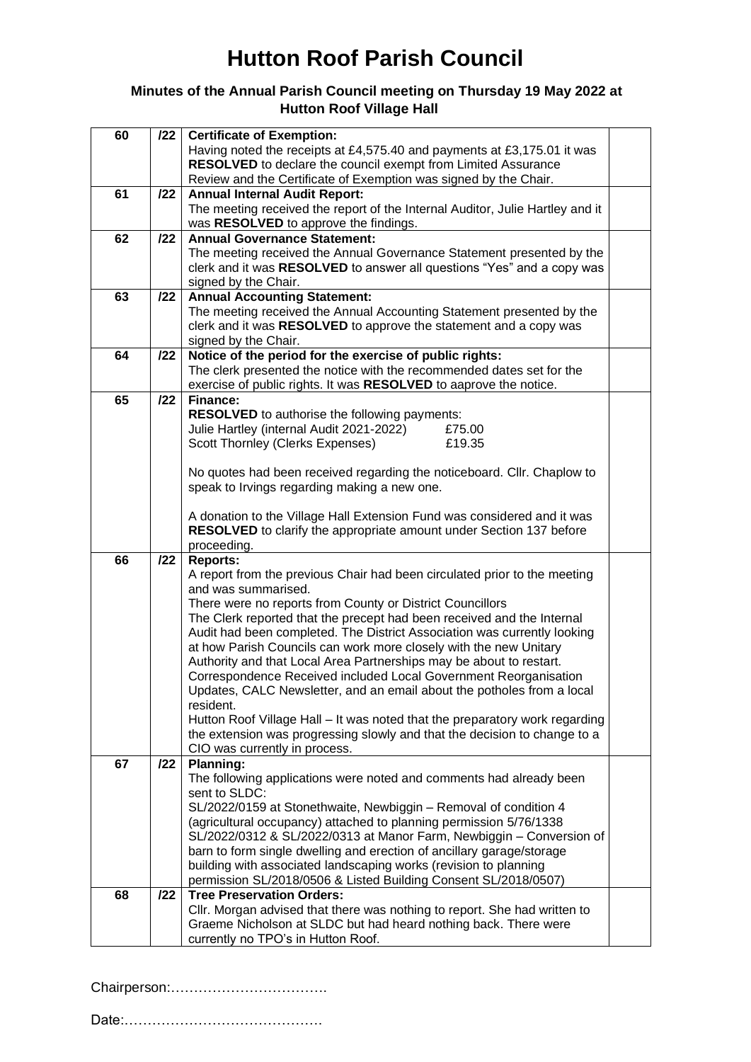# **Hutton Roof Parish Council**

### **Minutes of the Annual Parish Council meeting on Thursday 19 May 2022 at Hutton Roof Village Hall**

| 60 | 122 | <b>Certificate of Exemption:</b>                                                                      |  |
|----|-----|-------------------------------------------------------------------------------------------------------|--|
|    |     | Having noted the receipts at £4,575.40 and payments at £3,175.01 it was                               |  |
|    |     | RESOLVED to declare the council exempt from Limited Assurance                                         |  |
|    |     | Review and the Certificate of Exemption was signed by the Chair.                                      |  |
| 61 | 122 | <b>Annual Internal Audit Report:</b>                                                                  |  |
|    |     | The meeting received the report of the Internal Auditor, Julie Hartley and it                         |  |
|    |     | was RESOLVED to approve the findings.                                                                 |  |
| 62 | 122 | <b>Annual Governance Statement:</b>                                                                   |  |
|    |     | The meeting received the Annual Governance Statement presented by the                                 |  |
|    |     | clerk and it was RESOLVED to answer all questions "Yes" and a copy was                                |  |
|    |     |                                                                                                       |  |
|    |     | signed by the Chair.                                                                                  |  |
| 63 | 122 | <b>Annual Accounting Statement:</b>                                                                   |  |
|    |     | The meeting received the Annual Accounting Statement presented by the                                 |  |
|    |     | clerk and it was RESOLVED to approve the statement and a copy was                                     |  |
|    |     | signed by the Chair.                                                                                  |  |
| 64 | 122 | Notice of the period for the exercise of public rights:                                               |  |
|    |     | The clerk presented the notice with the recommended dates set for the                                 |  |
|    |     | exercise of public rights. It was RESOLVED to aaprove the notice.                                     |  |
| 65 | 122 | Finance:                                                                                              |  |
|    |     | <b>RESOLVED</b> to authorise the following payments:                                                  |  |
|    |     | Julie Hartley (internal Audit 2021-2022)<br>£75.00                                                    |  |
|    |     | Scott Thornley (Clerks Expenses)<br>£19.35                                                            |  |
|    |     |                                                                                                       |  |
|    |     | No quotes had been received regarding the noticeboard. Cllr. Chaplow to                               |  |
|    |     | speak to Irvings regarding making a new one.                                                          |  |
|    |     |                                                                                                       |  |
|    |     | A donation to the Village Hall Extension Fund was considered and it was                               |  |
|    |     | <b>RESOLVED</b> to clarify the appropriate amount under Section 137 before                            |  |
|    |     | proceeding.                                                                                           |  |
| 66 | 122 | <b>Reports:</b>                                                                                       |  |
|    |     |                                                                                                       |  |
|    |     | A report from the previous Chair had been circulated prior to the meeting                             |  |
|    |     | and was summarised.                                                                                   |  |
|    |     | There were no reports from County or District Councillors                                             |  |
|    |     | The Clerk reported that the precept had been received and the Internal                                |  |
|    |     | Audit had been completed. The District Association was currently looking                              |  |
|    |     | at how Parish Councils can work more closely with the new Unitary                                     |  |
|    |     | Authority and that Local Area Partnerships may be about to restart.                                   |  |
|    |     | Correspondence Received included Local Government Reorganisation                                      |  |
|    |     | Updates, CALC Newsletter, and an email about the potholes from a local                                |  |
|    |     | resident.                                                                                             |  |
|    |     | Hutton Roof Village Hall – It was noted that the preparatory work regarding                           |  |
|    |     | the extension was progressing slowly and that the decision to change to a                             |  |
|    |     | CIO was currently in process.                                                                         |  |
| 67 | 122 | <b>Planning:</b>                                                                                      |  |
|    |     | The following applications were noted and comments had already been                                   |  |
|    |     | sent to SLDC:                                                                                         |  |
|    |     | SL/2022/0159 at Stonethwaite, Newbiggin - Removal of condition 4                                      |  |
|    |     | (agricultural occupancy) attached to planning permission 5/76/1338                                    |  |
|    |     | SL/2022/0312 & SL/2022/0313 at Manor Farm, Newbiggin - Conversion of                                  |  |
|    |     | barn to form single dwelling and erection of ancillary garage/storage                                 |  |
|    |     | building with associated landscaping works (revision to planning                                      |  |
|    |     | permission SL/2018/0506 & Listed Building Consent SL/2018/0507)                                       |  |
| 68 | 122 | <b>Tree Preservation Orders:</b>                                                                      |  |
|    |     | Cllr. Morgan advised that there was nothing to report. She had written to                             |  |
|    |     |                                                                                                       |  |
|    |     | Graeme Nicholson at SLDC but had heard nothing back. There were<br>currently no TPO's in Hutton Roof. |  |
|    |     |                                                                                                       |  |

Chairperson:…………………………….

Date:…………………………………….